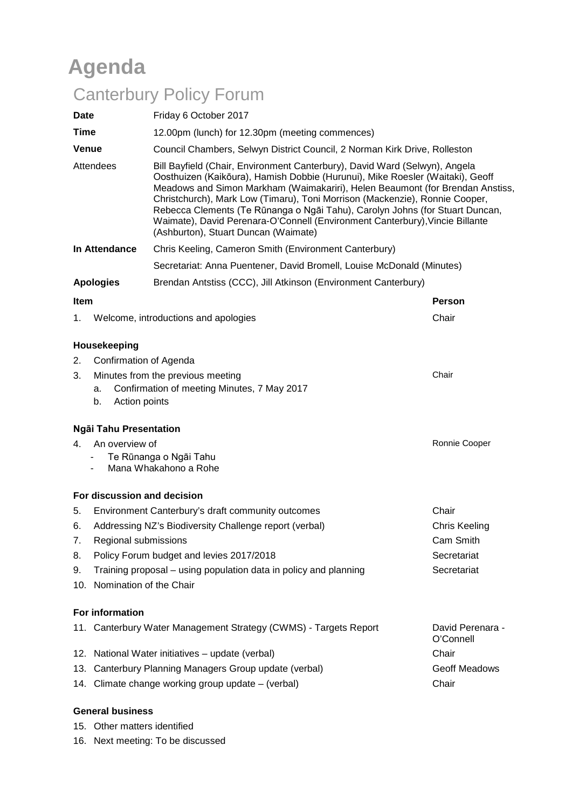# **Agenda**

# Canterbury Policy Forum

|                                                                                                                              |                                                                                 | <b>CANGIQUIY FUILLY FUIUIII</b>                                                                                                                                                                                                                                                                                                                                                                                                                                                                                                     |                               |  |  |  |  |  |  |  |
|------------------------------------------------------------------------------------------------------------------------------|---------------------------------------------------------------------------------|-------------------------------------------------------------------------------------------------------------------------------------------------------------------------------------------------------------------------------------------------------------------------------------------------------------------------------------------------------------------------------------------------------------------------------------------------------------------------------------------------------------------------------------|-------------------------------|--|--|--|--|--|--|--|
| <b>Date</b>                                                                                                                  |                                                                                 | Friday 6 October 2017                                                                                                                                                                                                                                                                                                                                                                                                                                                                                                               |                               |  |  |  |  |  |  |  |
| Time                                                                                                                         |                                                                                 | 12.00pm (lunch) for 12.30pm (meeting commences)                                                                                                                                                                                                                                                                                                                                                                                                                                                                                     |                               |  |  |  |  |  |  |  |
| <b>Venue</b><br>Attendees                                                                                                    |                                                                                 | Council Chambers, Selwyn District Council, 2 Norman Kirk Drive, Rolleston                                                                                                                                                                                                                                                                                                                                                                                                                                                           |                               |  |  |  |  |  |  |  |
|                                                                                                                              |                                                                                 | Bill Bayfield (Chair, Environment Canterbury), David Ward (Selwyn), Angela<br>Oosthuizen (Kaikōura), Hamish Dobbie (Hurunui), Mike Roesler (Waitaki), Geoff<br>Meadows and Simon Markham (Waimakariri), Helen Beaumont (for Brendan Anstiss,<br>Christchurch), Mark Low (Timaru), Toni Morrison (Mackenzie), Ronnie Cooper,<br>Rebecca Clements (Te Rūnanga o Ngāi Tahu), Carolyn Johns (for Stuart Duncan,<br>Waimate), David Perenara-O'Connell (Environment Canterbury), Vincie Billante<br>(Ashburton), Stuart Duncan (Waimate) |                               |  |  |  |  |  |  |  |
| In Attendance                                                                                                                |                                                                                 | Chris Keeling, Cameron Smith (Environment Canterbury)                                                                                                                                                                                                                                                                                                                                                                                                                                                                               |                               |  |  |  |  |  |  |  |
|                                                                                                                              |                                                                                 | Secretariat: Anna Puentener, David Bromell, Louise McDonald (Minutes)                                                                                                                                                                                                                                                                                                                                                                                                                                                               |                               |  |  |  |  |  |  |  |
|                                                                                                                              | <b>Apologies</b>                                                                | Brendan Antstiss (CCC), Jill Atkinson (Environment Canterbury)                                                                                                                                                                                                                                                                                                                                                                                                                                                                      |                               |  |  |  |  |  |  |  |
| <b>Item</b>                                                                                                                  |                                                                                 |                                                                                                                                                                                                                                                                                                                                                                                                                                                                                                                                     | <b>Person</b>                 |  |  |  |  |  |  |  |
| 1.                                                                                                                           |                                                                                 | Welcome, introductions and apologies                                                                                                                                                                                                                                                                                                                                                                                                                                                                                                | Chair                         |  |  |  |  |  |  |  |
| 2.                                                                                                                           | Housekeeping<br>Confirmation of Agenda                                          |                                                                                                                                                                                                                                                                                                                                                                                                                                                                                                                                     |                               |  |  |  |  |  |  |  |
| Chair<br>Minutes from the previous meeting<br>3.<br>Confirmation of meeting Minutes, 7 May 2017<br>a.<br>Action points<br>b. |                                                                                 |                                                                                                                                                                                                                                                                                                                                                                                                                                                                                                                                     |                               |  |  |  |  |  |  |  |
|                                                                                                                              | Ngāi Tahu Presentation                                                          |                                                                                                                                                                                                                                                                                                                                                                                                                                                                                                                                     |                               |  |  |  |  |  |  |  |
| 4.                                                                                                                           | An overview of<br>Te Rūnanga o Ngāi Tahu<br>Mana Whakahono a Rohe               | Ronnie Cooper                                                                                                                                                                                                                                                                                                                                                                                                                                                                                                                       |                               |  |  |  |  |  |  |  |
|                                                                                                                              |                                                                                 | For discussion and decision                                                                                                                                                                                                                                                                                                                                                                                                                                                                                                         |                               |  |  |  |  |  |  |  |
| 5.                                                                                                                           |                                                                                 | Environment Canterbury's draft community outcomes                                                                                                                                                                                                                                                                                                                                                                                                                                                                                   | Chair                         |  |  |  |  |  |  |  |
|                                                                                                                              |                                                                                 | 6. Addressing NZ's Biodiversity Challenge report (verbal)                                                                                                                                                                                                                                                                                                                                                                                                                                                                           | <b>Chris Keeling</b>          |  |  |  |  |  |  |  |
| 7.                                                                                                                           | Regional submissions                                                            |                                                                                                                                                                                                                                                                                                                                                                                                                                                                                                                                     | Cam Smith                     |  |  |  |  |  |  |  |
| 8.                                                                                                                           | Policy Forum budget and levies 2017/2018                                        | Secretariat                                                                                                                                                                                                                                                                                                                                                                                                                                                                                                                         |                               |  |  |  |  |  |  |  |
| 9.                                                                                                                           | Training proposal – using population data in policy and planning<br>Secretariat |                                                                                                                                                                                                                                                                                                                                                                                                                                                                                                                                     |                               |  |  |  |  |  |  |  |
|                                                                                                                              | 10. Nomination of the Chair                                                     |                                                                                                                                                                                                                                                                                                                                                                                                                                                                                                                                     |                               |  |  |  |  |  |  |  |
|                                                                                                                              | For information                                                                 |                                                                                                                                                                                                                                                                                                                                                                                                                                                                                                                                     |                               |  |  |  |  |  |  |  |
|                                                                                                                              |                                                                                 | 11. Canterbury Water Management Strategy (CWMS) - Targets Report                                                                                                                                                                                                                                                                                                                                                                                                                                                                    | David Perenara -<br>O'Connell |  |  |  |  |  |  |  |
|                                                                                                                              |                                                                                 | 12. National Water initiatives - update (verbal)                                                                                                                                                                                                                                                                                                                                                                                                                                                                                    | Chair                         |  |  |  |  |  |  |  |
|                                                                                                                              | 13. Canterbury Planning Managers Group update (verbal)                          | Geoff Meadows                                                                                                                                                                                                                                                                                                                                                                                                                                                                                                                       |                               |  |  |  |  |  |  |  |

14. Climate change working group update – (verbal) Chair

#### **General business**

- 15. Other matters identified
- 16. Next meeting: To be discussed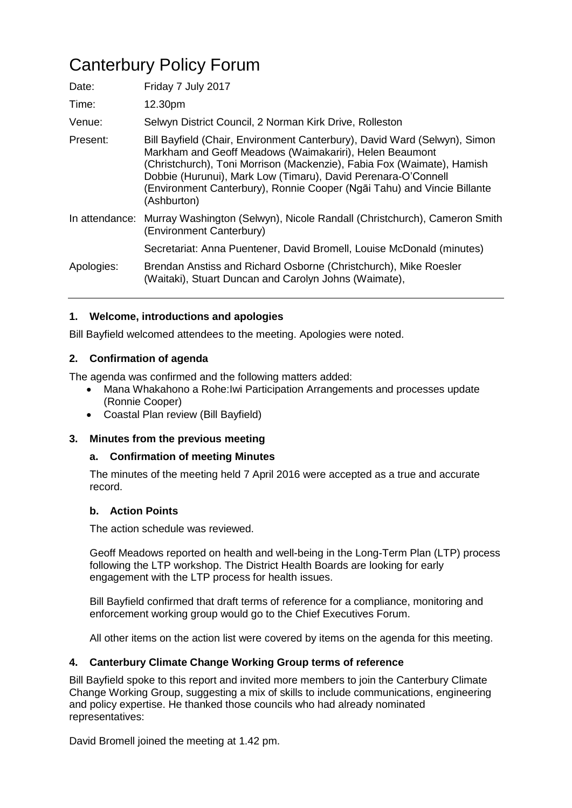# Canterbury Policy Forum

| Date:          | Friday 7 July 2017                                                                                                                                                                                                                                                                                                                                                        |
|----------------|---------------------------------------------------------------------------------------------------------------------------------------------------------------------------------------------------------------------------------------------------------------------------------------------------------------------------------------------------------------------------|
| Time:          | 12.30pm                                                                                                                                                                                                                                                                                                                                                                   |
| Venue:         | Selwyn District Council, 2 Norman Kirk Drive, Rolleston                                                                                                                                                                                                                                                                                                                   |
| Present:       | Bill Bayfield (Chair, Environment Canterbury), David Ward (Selwyn), Simon<br>Markham and Geoff Meadows (Waimakariri), Helen Beaumont<br>(Christchurch), Toni Morrison (Mackenzie), Fabia Fox (Waimate), Hamish<br>Dobbie (Hurunui), Mark Low (Timaru), David Perenara-O'Connell<br>(Environment Canterbury), Ronnie Cooper (Ngāi Tahu) and Vincie Billante<br>(Ashburton) |
| In attendance: | Murray Washington (Selwyn), Nicole Randall (Christchurch), Cameron Smith<br>(Environment Canterbury)                                                                                                                                                                                                                                                                      |
|                | Secretariat: Anna Puentener, David Bromell, Louise McDonald (minutes)                                                                                                                                                                                                                                                                                                     |
| Apologies:     | Brendan Anstiss and Richard Osborne (Christchurch), Mike Roesler<br>(Waitaki), Stuart Duncan and Carolyn Johns (Waimate),                                                                                                                                                                                                                                                 |

#### **1. Welcome, introductions and apologies**

Bill Bayfield welcomed attendees to the meeting. Apologies were noted.

#### **2. Confirmation of agenda**

The agenda was confirmed and the following matters added:

- Mana Whakahono a Rohe:Iwi Participation Arrangements and processes update (Ronnie Cooper)
- Coastal Plan review (Bill Bayfield)

#### **3. Minutes from the previous meeting**

#### **a. Confirmation of meeting Minutes**

The minutes of the meeting held 7 April 2016 were accepted as a true and accurate record.

#### **b. Action Points**

The action schedule was reviewed.

Geoff Meadows reported on health and well-being in the Long-Term Plan (LTP) process following the LTP workshop. The District Health Boards are looking for early engagement with the LTP process for health issues.

Bill Bayfield confirmed that draft terms of reference for a compliance, monitoring and enforcement working group would go to the Chief Executives Forum.

All other items on the action list were covered by items on the agenda for this meeting.

#### **4. Canterbury Climate Change Working Group terms of reference**

Bill Bayfield spoke to this report and invited more members to join the Canterbury Climate Change Working Group, suggesting a mix of skills to include communications, engineering and policy expertise. He thanked those councils who had already nominated representatives:

David Bromell joined the meeting at 1.42 pm.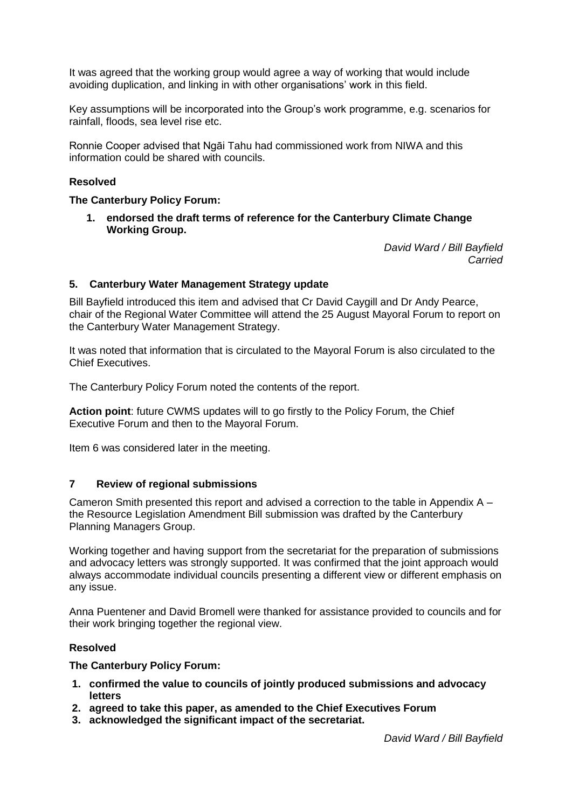It was agreed that the working group would agree a way of working that would include avoiding duplication, and linking in with other organisations' work in this field.

Key assumptions will be incorporated into the Group's work programme, e.g. scenarios for rainfall, floods, sea level rise etc.

Ronnie Cooper advised that Ngāi Tahu had commissioned work from NIWA and this information could be shared with councils.

#### **Resolved**

#### **The Canterbury Policy Forum:**

**1. endorsed the draft terms of reference for the Canterbury Climate Change Working Group.**

> *David Ward / Bill Bayfield Carried*

#### **5. Canterbury Water Management Strategy update**

Bill Bayfield introduced this item and advised that Cr David Caygill and Dr Andy Pearce, chair of the Regional Water Committee will attend the 25 August Mayoral Forum to report on the Canterbury Water Management Strategy.

It was noted that information that is circulated to the Mayoral Forum is also circulated to the Chief Executives.

The Canterbury Policy Forum noted the contents of the report.

**Action point**: future CWMS updates will to go firstly to the Policy Forum, the Chief Executive Forum and then to the Mayoral Forum.

Item 6 was considered later in the meeting.

#### **7 Review of regional submissions**

Cameron Smith presented this report and advised a correction to the table in Appendix A – the Resource Legislation Amendment Bill submission was drafted by the Canterbury Planning Managers Group.

Working together and having support from the secretariat for the preparation of submissions and advocacy letters was strongly supported. It was confirmed that the joint approach would always accommodate individual councils presenting a different view or different emphasis on any issue.

Anna Puentener and David Bromell were thanked for assistance provided to councils and for their work bringing together the regional view.

#### **Resolved**

#### **The Canterbury Policy Forum:**

- **1. confirmed the value to councils of jointly produced submissions and advocacy letters**
- **2. agreed to take this paper, as amended to the Chief Executives Forum**
- **3. acknowledged the significant impact of the secretariat.**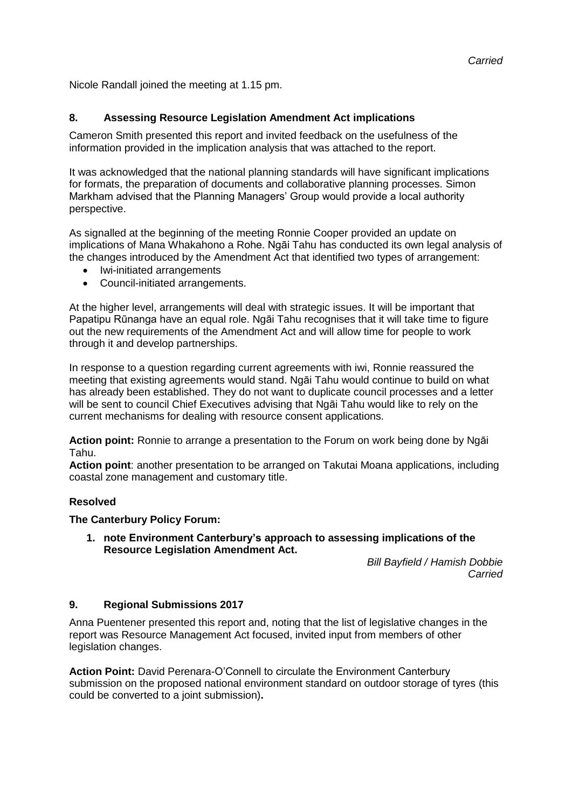Nicole Randall joined the meeting at 1.15 pm.

#### **8. Assessing Resource Legislation Amendment Act implications**

Cameron Smith presented this report and invited feedback on the usefulness of the information provided in the implication analysis that was attached to the report.

It was acknowledged that the national planning standards will have significant implications for formats, the preparation of documents and collaborative planning processes. Simon Markham advised that the Planning Managers' Group would provide a local authority perspective.

As signalled at the beginning of the meeting Ronnie Cooper provided an update on implications of Mana Whakahono a Rohe. Ngāi Tahu has conducted its own legal analysis of the changes introduced by the Amendment Act that identified two types of arrangement:

- Iwi-initiated arrangements
- Council-initiated arrangements.

At the higher level, arrangements will deal with strategic issues. It will be important that Papatipu Rūnanga have an equal role. Ngāi Tahu recognises that it will take time to figure out the new requirements of the Amendment Act and will allow time for people to work through it and develop partnerships.

In response to a question regarding current agreements with iwi, Ronnie reassured the meeting that existing agreements would stand. Ngāi Tahu would continue to build on what has already been established. They do not want to duplicate council processes and a letter will be sent to council Chief Executives advising that Ngāi Tahu would like to rely on the current mechanisms for dealing with resource consent applications.

**Action point:** Ronnie to arrange a presentation to the Forum on work being done by Ngāi Tahu.

**Action point**: another presentation to be arranged on Takutai Moana applications, including coastal zone management and customary title.

#### **Resolved**

**The Canterbury Policy Forum:**

**1. note Environment Canterbury's approach to assessing implications of the Resource Legislation Amendment Act.**

> *Bill Bayfield / Hamish Dobbie Carried*

#### **9. Regional Submissions 2017**

Anna Puentener presented this report and, noting that the list of legislative changes in the report was Resource Management Act focused, invited input from members of other legislation changes.

**Action Point:** David Perenara-O'Connell to circulate the Environment Canterbury submission on the proposed national environment standard on outdoor storage of tyres (this could be converted to a joint submission)**.**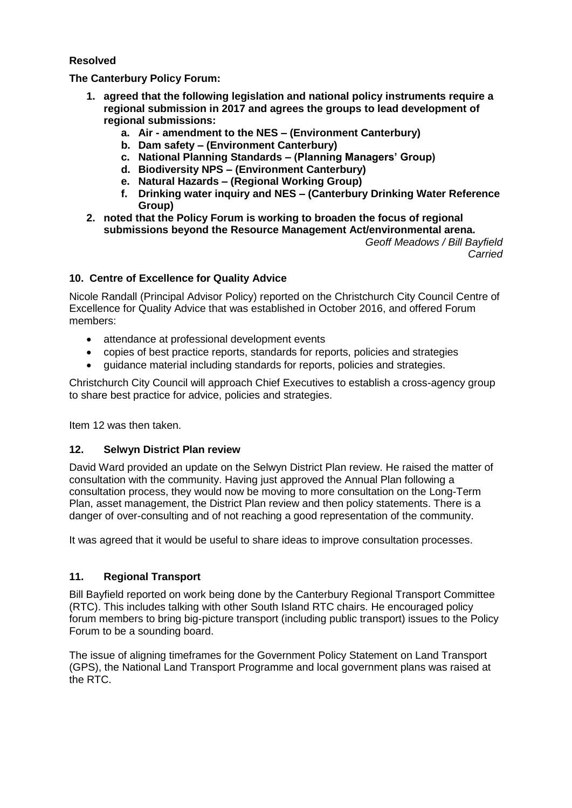#### **Resolved**

**The Canterbury Policy Forum:**

- **1. agreed that the following legislation and national policy instruments require a regional submission in 2017 and agrees the groups to lead development of regional submissions:**
	- **a. Air - amendment to the NES – (Environment Canterbury)**
	- **b. Dam safety – (Environment Canterbury)**
	- **c. National Planning Standards – (Planning Managers' Group)**
	- **d. Biodiversity NPS – (Environment Canterbury)**
	- **e. Natural Hazards – (Regional Working Group)**
	- **f. Drinking water inquiry and NES – (Canterbury Drinking Water Reference Group)**
- **2. noted that the Policy Forum is working to broaden the focus of regional submissions beyond the Resource Management Act/environmental arena.** *Geoff Meadows / Bill Bayfield*

*Carried*

#### **10. Centre of Excellence for Quality Advice**

Nicole Randall (Principal Advisor Policy) reported on the Christchurch City Council Centre of Excellence for Quality Advice that was established in October 2016, and offered Forum members:

- attendance at professional development events
- copies of best practice reports, standards for reports, policies and strategies
- guidance material including standards for reports, policies and strategies.

Christchurch City Council will approach Chief Executives to establish a cross-agency group to share best practice for advice, policies and strategies.

Item 12 was then taken.

#### **12. Selwyn District Plan review**

David Ward provided an update on the Selwyn District Plan review. He raised the matter of consultation with the community. Having just approved the Annual Plan following a consultation process, they would now be moving to more consultation on the Long-Term Plan, asset management, the District Plan review and then policy statements. There is a danger of over-consulting and of not reaching a good representation of the community.

It was agreed that it would be useful to share ideas to improve consultation processes.

#### **11. Regional Transport**

Bill Bayfield reported on work being done by the Canterbury Regional Transport Committee (RTC). This includes talking with other South Island RTC chairs. He encouraged policy forum members to bring big-picture transport (including public transport) issues to the Policy Forum to be a sounding board.

The issue of aligning timeframes for the Government Policy Statement on Land Transport (GPS), the National Land Transport Programme and local government plans was raised at the RTC.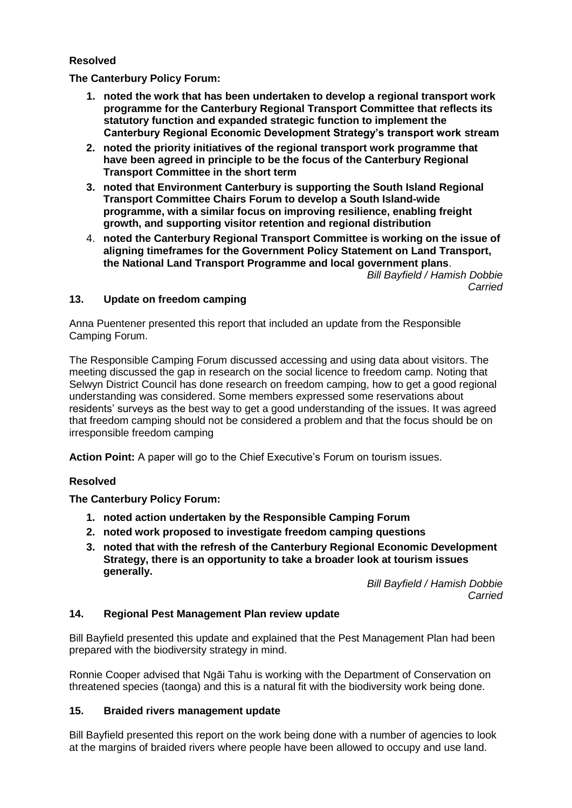#### **Resolved**

**The Canterbury Policy Forum:**

- **1. noted the work that has been undertaken to develop a regional transport work programme for the Canterbury Regional Transport Committee that reflects its statutory function and expanded strategic function to implement the Canterbury Regional Economic Development Strategy's transport work stream**
- **2. noted the priority initiatives of the regional transport work programme that have been agreed in principle to be the focus of the Canterbury Regional Transport Committee in the short term**
- **3. noted that Environment Canterbury is supporting the South Island Regional Transport Committee Chairs Forum to develop a South Island-wide programme, with a similar focus on improving resilience, enabling freight growth, and supporting visitor retention and regional distribution**
- 4. **noted the Canterbury Regional Transport Committee is working on the issue of aligning timeframes for the Government Policy Statement on Land Transport, the National Land Transport Programme and local government plans**.

*Bill Bayfield / Hamish Dobbie Carried*

#### **13. Update on freedom camping**

Anna Puentener presented this report that included an update from the Responsible Camping Forum.

The Responsible Camping Forum discussed accessing and using data about visitors. The meeting discussed the gap in research on the social licence to freedom camp. Noting that Selwyn District Council has done research on freedom camping, how to get a good regional understanding was considered. Some members expressed some reservations about residents' surveys as the best way to get a good understanding of the issues. It was agreed that freedom camping should not be considered a problem and that the focus should be on irresponsible freedom camping

**Action Point:** A paper will go to the Chief Executive's Forum on tourism issues.

#### **Resolved**

**The Canterbury Policy Forum:**

- **1. noted action undertaken by the Responsible Camping Forum**
- **2. noted work proposed to investigate freedom camping questions**
- **3. noted that with the refresh of the Canterbury Regional Economic Development Strategy, there is an opportunity to take a broader look at tourism issues generally.**

*Bill Bayfield / Hamish Dobbie Carried*

#### **14. Regional Pest Management Plan review update**

Bill Bayfield presented this update and explained that the Pest Management Plan had been prepared with the biodiversity strategy in mind.

Ronnie Cooper advised that Ngāi Tahu is working with the Department of Conservation on threatened species (taonga) and this is a natural fit with the biodiversity work being done.

#### **15. Braided rivers management update**

Bill Bayfield presented this report on the work being done with a number of agencies to look at the margins of braided rivers where people have been allowed to occupy and use land.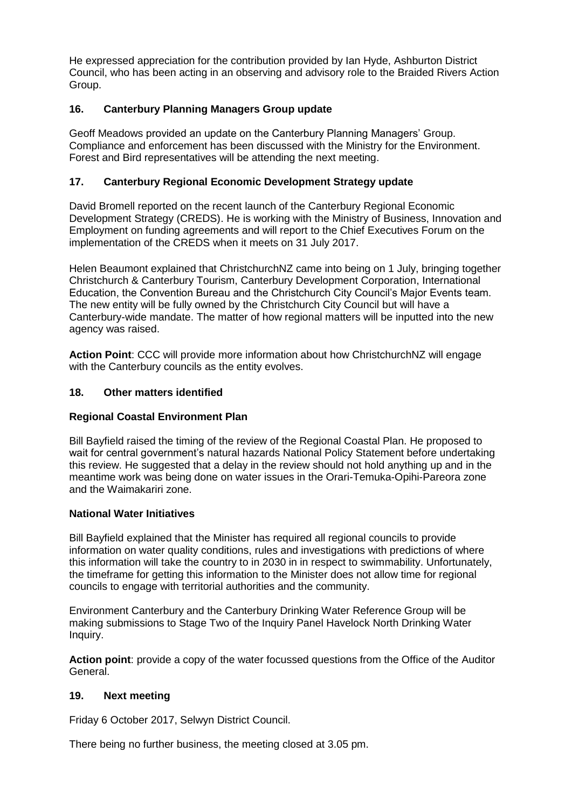He expressed appreciation for the contribution provided by Ian Hyde, Ashburton District Council, who has been acting in an observing and advisory role to the Braided Rivers Action Group.

#### **16. Canterbury Planning Managers Group update**

Geoff Meadows provided an update on the Canterbury Planning Managers' Group. Compliance and enforcement has been discussed with the Ministry for the Environment. Forest and Bird representatives will be attending the next meeting.

#### **17. Canterbury Regional Economic Development Strategy update**

David Bromell reported on the recent launch of the Canterbury Regional Economic Development Strategy (CREDS). He is working with the Ministry of Business, Innovation and Employment on funding agreements and will report to the Chief Executives Forum on the implementation of the CREDS when it meets on 31 July 2017.

Helen Beaumont explained that ChristchurchNZ came into being on 1 July, bringing together Christchurch & Canterbury Tourism, Canterbury Development Corporation, International Education, the Convention Bureau and the Christchurch City Council's Major Events team. The new entity will be fully owned by the Christchurch City Council but will have a Canterbury-wide mandate. The matter of how regional matters will be inputted into the new agency was raised.

**Action Point**: CCC will provide more information about how ChristchurchNZ will engage with the Canterbury councils as the entity evolves.

#### **18. Other matters identified**

#### **Regional Coastal Environment Plan**

Bill Bayfield raised the timing of the review of the Regional Coastal Plan. He proposed to wait for central government's natural hazards National Policy Statement before undertaking this review. He suggested that a delay in the review should not hold anything up and in the meantime work was being done on water issues in the Orari-Temuka-Opihi-Pareora zone and the Waimakariri zone.

#### **National Water Initiatives**

Bill Bayfield explained that the Minister has required all regional councils to provide information on water quality conditions, rules and investigations with predictions of where this information will take the country to in 2030 in in respect to swimmability. Unfortunately, the timeframe for getting this information to the Minister does not allow time for regional councils to engage with territorial authorities and the community.

Environment Canterbury and the Canterbury Drinking Water Reference Group will be making submissions to Stage Two of the Inquiry Panel Havelock North Drinking Water Inquiry.

**Action point**: provide a copy of the water focussed questions from the Office of the Auditor General.

#### **19. Next meeting**

Friday 6 October 2017, Selwyn District Council.

There being no further business, the meeting closed at 3.05 pm.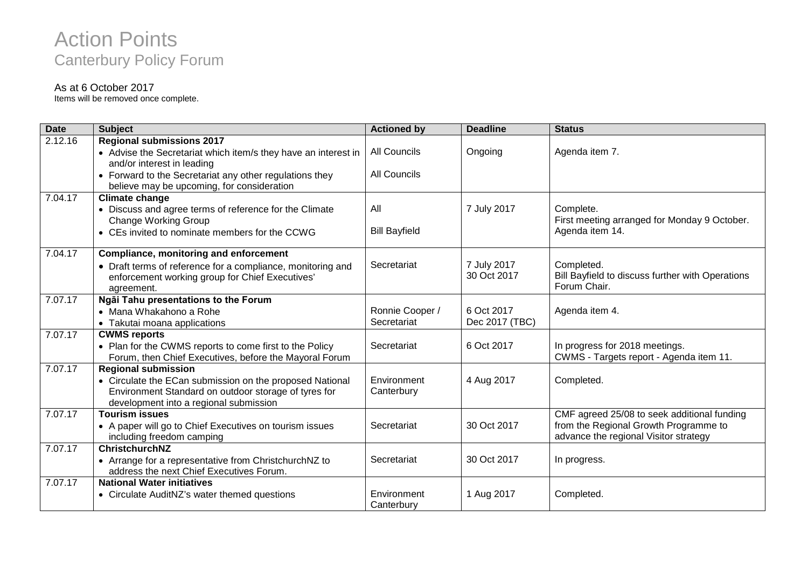# Action Points Canterbury Policy Forum

#### As at 6 October 2017

Items will be removed once complete.

| <b>Date</b> | <b>Subject</b>                                                                                                                                             | <b>Actioned by</b>        | <b>Deadline</b>            | <b>Status</b>                                                                  |
|-------------|------------------------------------------------------------------------------------------------------------------------------------------------------------|---------------------------|----------------------------|--------------------------------------------------------------------------------|
| 2.12.16     | <b>Regional submissions 2017</b>                                                                                                                           |                           |                            |                                                                                |
|             | • Advise the Secretariat which item/s they have an interest in<br>and/or interest in leading                                                               | <b>All Councils</b>       | Ongoing                    | Agenda item 7.                                                                 |
|             | • Forward to the Secretariat any other regulations they<br>believe may be upcoming, for consideration                                                      | <b>All Councils</b>       |                            |                                                                                |
| 7.04.17     | <b>Climate change</b>                                                                                                                                      |                           |                            |                                                                                |
|             | • Discuss and agree terms of reference for the Climate<br><b>Change Working Group</b>                                                                      | All                       | 7 July 2017                | Complete.<br>First meeting arranged for Monday 9 October.                      |
|             | • CEs invited to nominate members for the CCWG                                                                                                             | <b>Bill Bayfield</b>      |                            | Agenda item 14.                                                                |
| 7.04.17     | <b>Compliance, monitoring and enforcement</b>                                                                                                              |                           |                            |                                                                                |
|             | • Draft terms of reference for a compliance, monitoring and<br>enforcement working group for Chief Executives'<br>agreement.                               | Secretariat               | 7 July 2017<br>30 Oct 2017 | Completed.<br>Bill Bayfield to discuss further with Operations<br>Forum Chair. |
| 7.07.17     | Ngāi Tahu presentations to the Forum                                                                                                                       |                           |                            |                                                                                |
|             | • Mana Whakahono a Rohe                                                                                                                                    | Ronnie Cooper /           | 6 Oct 2017                 | Agenda item 4.                                                                 |
|             | • Takutai moana applications                                                                                                                               | Secretariat               | Dec 2017 (TBC)             |                                                                                |
| 7.07.17     | <b>CWMS reports</b>                                                                                                                                        |                           |                            |                                                                                |
|             | • Plan for the CWMS reports to come first to the Policy<br>Forum, then Chief Executives, before the Mayoral Forum                                          | Secretariat               | 6 Oct 2017                 | In progress for 2018 meetings.<br>CWMS - Targets report - Agenda item 11.      |
| 7.07.17     | <b>Regional submission</b>                                                                                                                                 |                           |                            |                                                                                |
|             | • Circulate the ECan submission on the proposed National<br>Environment Standard on outdoor storage of tyres for<br>development into a regional submission | Environment<br>Canterbury | 4 Aug 2017                 | Completed.                                                                     |
| 7.07.17     | <b>Tourism issues</b>                                                                                                                                      |                           |                            | CMF agreed 25/08 to seek additional funding                                    |
|             | • A paper will go to Chief Executives on tourism issues<br>including freedom camping                                                                       | Secretariat               | 30 Oct 2017                | from the Regional Growth Programme to<br>advance the regional Visitor strategy |
| 7.07.17     | <b>ChristchurchNZ</b>                                                                                                                                      |                           |                            |                                                                                |
|             | • Arrange for a representative from ChristchurchNZ to<br>address the next Chief Executives Forum.                                                          | Secretariat               | 30 Oct 2017                | In progress.                                                                   |
| 7.07.17     | <b>National Water initiatives</b>                                                                                                                          |                           |                            |                                                                                |
|             | • Circulate AuditNZ's water themed questions                                                                                                               | Environment<br>Canterbury | 1 Aug 2017                 | Completed.                                                                     |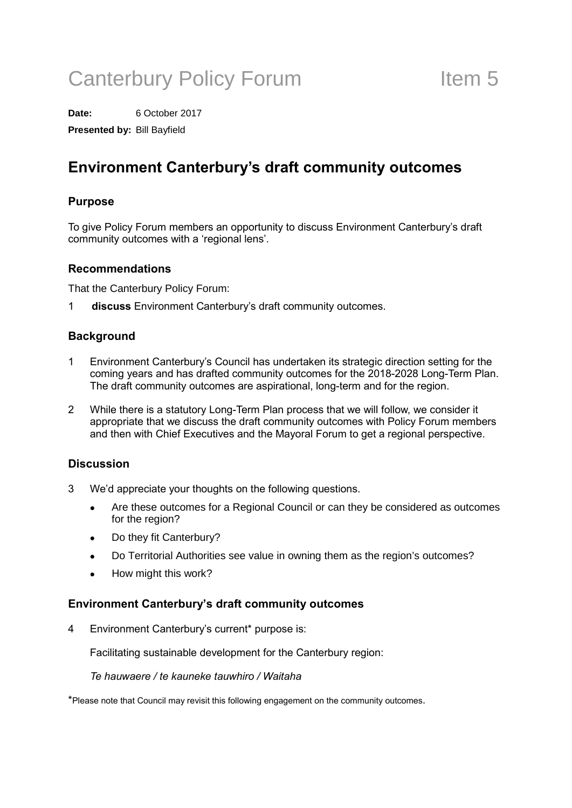# Canterbury Policy Forum Theorem 11 Item 5

**Date:** 6 October 2017

**Presented by:** Bill Bayfield

### Environment Canterbury's draft community outcomes

#### Purpose

To give Policy Forum members an opportunity to discuss Environment Canterbury's draft community outcomes with a 'regional lens'.

#### Recommendations

That the Canterbury Policy Forum:

1 discuss Environment Canterbury's draft community outcomes.

#### **Background**

- 1 Environment Canterbury's Council has undertaken its strategic direction setting for the coming years and has drafted community outcomes for the 2018-2028 Long-Term Plan. The draft community outcomes are aspirational, long-term and for the region.
- 2 While there is a statutory Long-Term Plan process that we will follow, we consider it appropriate that we discuss the draft community outcomes with Policy Forum members and then with Chief Executives and the Mayoral Forum to get a regional perspective.

#### **Discussion**

- 3 We'd appreciate your thoughts on the following questions.
	- Are these outcomes for a Regional Council or can they be considered as outcomes for the region?
	- Do they fit Canterbury?
	- Do Territorial Authorities see value in owning them as the region's outcomes?
	- How might this work?

#### Environment Canterbury's draft community outcomes

4 Environment Canterbury's current\* purpose is:

Facilitating sustainable development for the Canterbury region:

#### Te hauwaere / te kauneke tauwhiro / Waitaha

\*Please note that Council may revisit this following engagement on the community outcomes.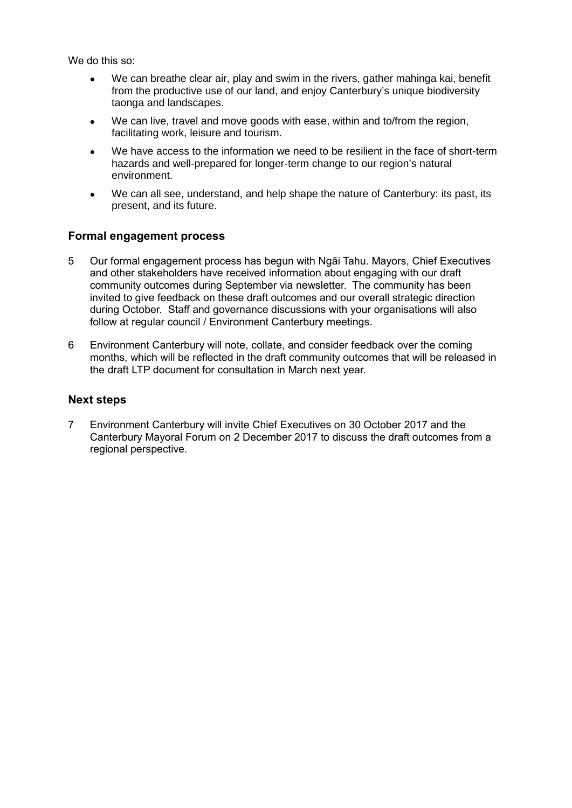We do this so:

- We can breathe clear air, play and swim in the rivers, gather mahinga kai, benefit from the productive use of our land, and enjoy Canterbury's unique biodiversity taonga and landscapes.
- We can live, travel and move goods with ease, within and to/from the region, facilitating work, leisure and tourism.
- We have access to the information we need to be resilient in the face of short-term hazards and well-prepared for longer-term change to our region's natural environment.
- We can all see, understand, and help shape the nature of Canterbury: its past, its present, and its future.

#### Formal engagement process

- 5 Our formal engagement process has begun with Ngāi Tahu. Mayors, Chief Executives and other stakeholders have received information about engaging with our draft community outcomes during September via newsletter. The community has been invited to give feedback on these draft outcomes and our overall strategic direction during October. Staff and governance discussions with your organisations will also follow at regular council / Environment Canterbury meetings.
- 6 Environment Canterbury will note, collate, and consider feedback over the coming months, which will be reflected in the draft community outcomes that will be released in the draft LTP document for consultation in March next year.

#### Next steps

7 Environment Canterbury will invite Chief Executives on 30 October 2017 and the Canterbury Mayoral Forum on 2 December 2017 to discuss the draft outcomes from a regional perspective.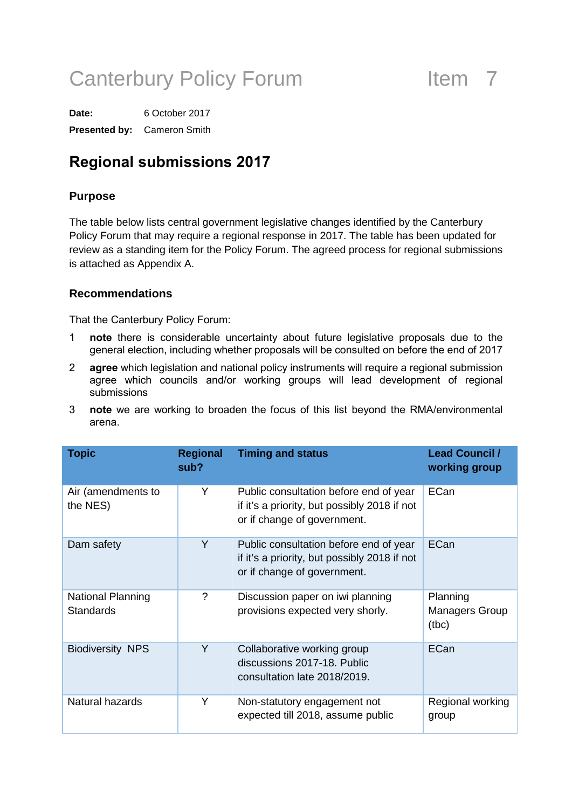# Canterbury Policy Forum Them 7

**Date:** 6 October 2017 **Presented by:** Cameron Smith

### Regional submissions 2017

#### **Purpose**

The table below lists central government legislative changes identified by the Canterbury Policy Forum that may require a regional response in 2017. The table has been updated for review as a standing item for the Policy Forum. The agreed process for regional submissions is attached as Appendix A.

#### **Recommendations**

That the Canterbury Policy Forum:

- 1 note there is considerable uncertainty about future legislative proposals due to the general election, including whether proposals will be consulted on before the end of 2017
- 2 agree which legislation and national policy instruments will require a regional submission agree which councils and/or working groups will lead development of regional submissions
- 3 note we are working to broaden the focus of this list beyond the RMA/environmental arena.

| <b>Topic</b>                                 | <b>Regional</b><br>sub? | <b>Timing and status</b>                                                                                              | <b>Lead Council /</b><br>working group     |  |  |
|----------------------------------------------|-------------------------|-----------------------------------------------------------------------------------------------------------------------|--------------------------------------------|--|--|
| Air (amendments to<br>the NES)               | Y                       | Public consultation before end of year<br>if it's a priority, but possibly 2018 if not<br>or if change of government. | ECan                                       |  |  |
| Dam safety                                   | Y                       | Public consultation before end of year<br>if it's a priority, but possibly 2018 if not<br>or if change of government. | ECan                                       |  |  |
| <b>National Planning</b><br><b>Standards</b> | ?                       | Discussion paper on iwi planning<br>provisions expected very shorly.                                                  | Planning<br><b>Managers Group</b><br>(tbc) |  |  |
| <b>Biodiversity NPS</b>                      | Y                       | Collaborative working group<br>discussions 2017-18. Public<br>consultation late 2018/2019.                            | ECan                                       |  |  |
| Natural hazards                              | Y                       | Non-statutory engagement not<br>expected till 2018, assume public                                                     | Regional working<br>group                  |  |  |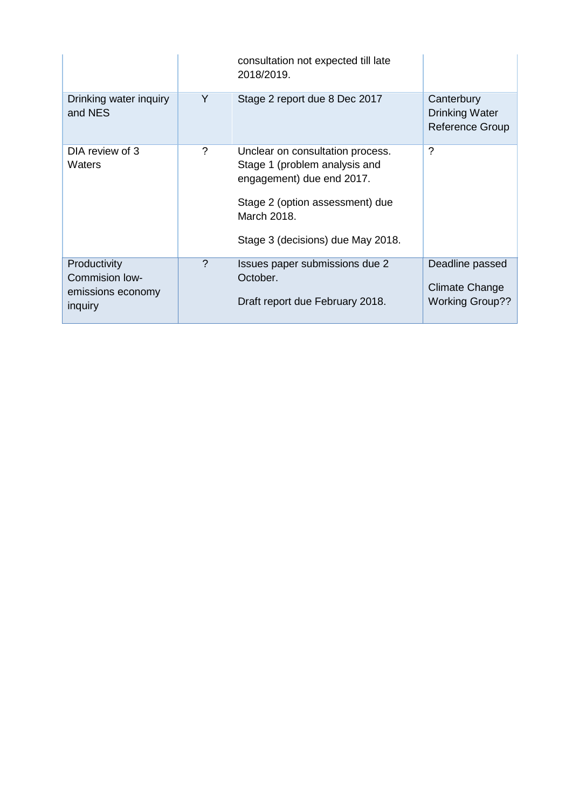|                                                                |               | consultation not expected till late<br>2018/2019.                                                                                                                                     |                                                               |
|----------------------------------------------------------------|---------------|---------------------------------------------------------------------------------------------------------------------------------------------------------------------------------------|---------------------------------------------------------------|
| Drinking water inquiry<br>and NES                              | Y             | Stage 2 report due 8 Dec 2017                                                                                                                                                         | Canterbury<br><b>Drinking Water</b><br><b>Reference Group</b> |
| DIA review of 3<br>Waters                                      | ?             | Unclear on consultation process.<br>Stage 1 (problem analysis and<br>engagement) due end 2017.<br>Stage 2 (option assessment) due<br>March 2018.<br>Stage 3 (decisions) due May 2018. | $\gamma$                                                      |
| Productivity<br>Commision low-<br>emissions economy<br>inquiry | $\mathcal{P}$ | Issues paper submissions due 2<br>October.<br>Draft report due February 2018.                                                                                                         | Deadline passed<br>Climate Change<br><b>Working Group??</b>   |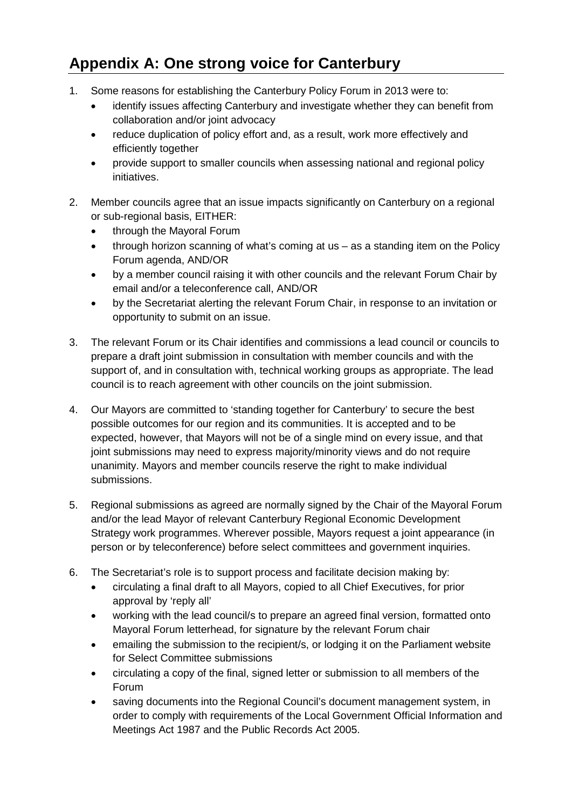### **Appendix A: One strong voice for Canterbury**

- 1. Some reasons for establishing the Canterbury Policy Forum in 2013 were to:
	- identify issues affecting Canterbury and investigate whether they can benefit from collaboration and/or joint advocacy
	- reduce duplication of policy effort and, as a result, work more effectively and efficiently together
	- provide support to smaller councils when assessing national and regional policy initiatives.
- 2. Member councils agree that an issue impacts significantly on Canterbury on a regional or sub-regional basis, EITHER:
	- through the Mayoral Forum
	- through horizon scanning of what's coming at us as a standing item on the Policy Forum agenda, AND/OR
	- by a member council raising it with other councils and the relevant Forum Chair by email and/or a teleconference call, AND/OR
	- by the Secretariat alerting the relevant Forum Chair, in response to an invitation or opportunity to submit on an issue.
- 3. The relevant Forum or its Chair identifies and commissions a lead council or councils to prepare a draft joint submission in consultation with member councils and with the support of, and in consultation with, technical working groups as appropriate. The lead council is to reach agreement with other councils on the joint submission.
- 4. Our Mayors are committed to 'standing together for Canterbury' to secure the best possible outcomes for our region and its communities. It is accepted and to be expected, however, that Mayors will not be of a single mind on every issue, and that joint submissions may need to express majority/minority views and do not require unanimity. Mayors and member councils reserve the right to make individual submissions.
- 5. Regional submissions as agreed are normally signed by the Chair of the Mayoral Forum and/or the lead Mayor of relevant Canterbury Regional Economic Development Strategy work programmes. Wherever possible, Mayors request a joint appearance (in person or by teleconference) before select committees and government inquiries.
- 6. The Secretariat's role is to support process and facilitate decision making by:
	- circulating a final draft to all Mayors, copied to all Chief Executives, for prior approval by 'reply all'
	- working with the lead council/s to prepare an agreed final version, formatted onto Mayoral Forum letterhead, for signature by the relevant Forum chair
	- emailing the submission to the recipient/s, or lodging it on the Parliament website for Select Committee submissions
	- circulating a copy of the final, signed letter or submission to all members of the Forum
	- saving documents into the Regional Council's document management system, in order to comply with requirements of the Local Government Official Information and Meetings Act 1987 and the Public Records Act 2005.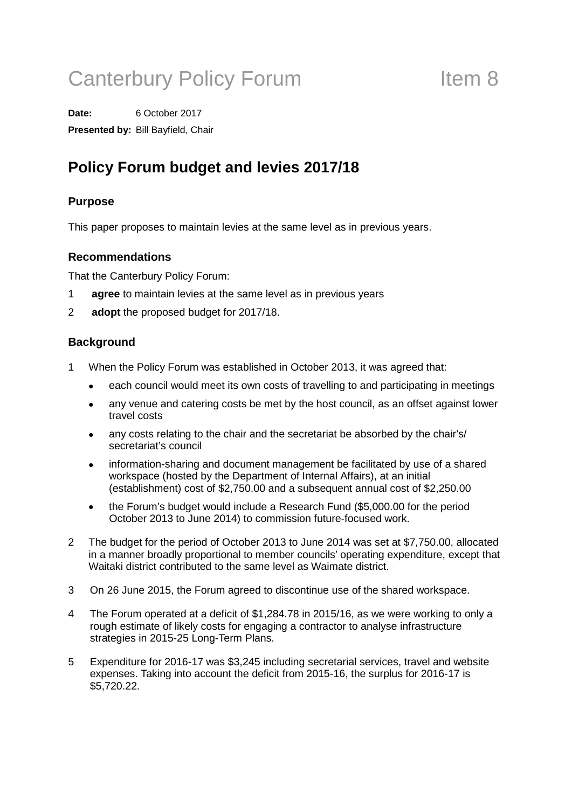# Canterbury Policy Forum Theorem 11 Item 8

**Date:** 6 October 2017 **Presented by:** Bill Bayfield, Chair

## **Policy Forum budget and levies 2017/18**

### **Purpose**

This paper proposes to maintain levies at the same level as in previous years.

#### **Recommendations**

That the Canterbury Policy Forum:

- 1 **agree** to maintain levies at the same level as in previous years
- 2 **adopt** the proposed budget for 2017/18.

#### **Background**

- 1 When the Policy Forum was established in October 2013, it was agreed that:
	- each council would meet its own costs of travelling to and participating in meetings
	- any venue and catering costs be met by the host council, as an offset against lower travel costs
	- any costs relating to the chair and the secretariat be absorbed by the chair's/ secretariat's council
	- information-sharing and document management be facilitated by use of a shared workspace (hosted by the Department of Internal Affairs), at an initial (establishment) cost of \$2,750.00 and a subsequent annual cost of \$2,250.00
	- the Forum's budget would include a Research Fund (\$5,000.00 for the period October 2013 to June 2014) to commission future-focused work.
- 2 The budget for the period of October 2013 to June 2014 was set at \$7,750.00, allocated in a manner broadly proportional to member councils' operating expenditure, except that Waitaki district contributed to the same level as Waimate district.
- 3 On 26 June 2015, the Forum agreed to discontinue use of the shared workspace.
- 4 The Forum operated at a deficit of \$1,284.78 in 2015/16, as we were working to only a rough estimate of likely costs for engaging a contractor to analyse infrastructure strategies in 2015-25 Long-Term Plans.
- 5 Expenditure for 2016-17 was \$3,245 including secretarial services, travel and website expenses. Taking into account the deficit from 2015-16, the surplus for 2016-17 is \$5,720.22.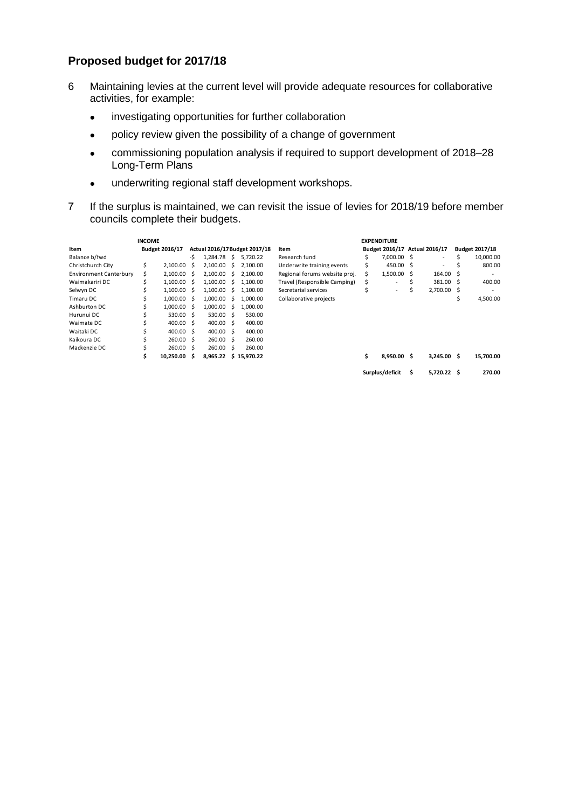#### **Proposed budget for 2017/18**

- 6 Maintaining levies at the current level will provide adequate resources for collaborative activities, for example:
	- investigating opportunities for further collaboration
	- policy review given the possibility of a change of government
	- commissioning population analysis if required to support development of 2018–28 Long-Term Plans
	- underwriting regional staff development workshops.
- 7 If the surplus is maintained, we can revisit the issue of levies for 2018/19 before member councils complete their budgets.

| <b>INCOME</b>                 |                       |           |                               |                  |    | <b>EXPENDITURE</b>    |                               |    |                 |                               |                          |                       |           |
|-------------------------------|-----------------------|-----------|-------------------------------|------------------|----|-----------------------|-------------------------------|----|-----------------|-------------------------------|--------------------------|-----------------------|-----------|
| Item                          | <b>Budget 2016/17</b> |           | Actual 2016/17 Budget 2017/18 |                  |    |                       | Item                          |    |                 | Budget 2016/17 Actual 2016/17 |                          | <b>Budget 2017/18</b> |           |
| Balance b/fwd                 |                       |           | -Ŝ                            | 1.284.78         | S. | 5.720.22              | Research fund                 |    | 7.000.00 \$     |                               | $\overline{\phantom{a}}$ |                       | 10,000.00 |
| Christchurch City             | Ś                     | 2.100.00  | S                             | 2,100.00         | S. | 2,100.00              | Underwrite training events    |    | 450.00 \$       |                               | ٠                        |                       | 800.00    |
| <b>Environment Canterbury</b> | Ś                     | 2,100.00  | S                             | 2,100.00         | S. | 2,100.00              | Regional forums website proj. | Ś  | 1,500.00 \$     |                               | $164.00 \quad$ \$        |                       |           |
| Waimakariri DC                | S                     | 1.100.00  | S.                            | 1.100.00         | S. | 1.100.00              | Travel (Responsible Camping)  | S  | ٠               | Ś                             | 381.00 \$                |                       | 400.00    |
| Selwyn DC                     |                       | 1.100.00  | S.                            | 1.100.00         | S  | 1.100.00              | Secretarial services          |    | ٠               |                               | 2,700.00 \$              |                       |           |
| Timaru DC                     |                       | 1.000.00  | .S                            | 1.000.00         | S  | 1.000.00              | Collaborative projects        |    |                 |                               |                          |                       | 4,500.00  |
| Ashburton DC                  |                       | 1.000.00  | S.                            | 1,000.00         | S  | 1,000.00              |                               |    |                 |                               |                          |                       |           |
| Hurunui DC                    |                       | 530.00    | -S                            | 530.00 \$        |    | 530.00                |                               |    |                 |                               |                          |                       |           |
| Waimate DC                    |                       | 400.00    | -Ŝ                            | 400.00 \$        |    | 400.00                |                               |    |                 |                               |                          |                       |           |
| Waitaki DC                    |                       | 400.00    | S.                            | $400.00 \quad S$ |    | 400.00                |                               |    |                 |                               |                          |                       |           |
| Kaikoura DC                   |                       | 260.00    | Ŝ.                            | 260.00 S         |    | 260.00                |                               |    |                 |                               |                          |                       |           |
| Mackenzie DC                  |                       | 260.00    | Ŝ                             | 260.00           | S. | 260.00                |                               |    |                 |                               |                          |                       |           |
|                               | Ś                     | 10.250.00 | S                             |                  |    | 8,965.22 \$ 15,970.22 |                               | \$ | 8.950.00 \$     |                               | 3.245.00 S               |                       | 15,700.00 |
|                               |                       |           |                               |                  |    |                       |                               |    | Surplus/deficit | S                             | $5.720.22$ \$            |                       | 270.00    |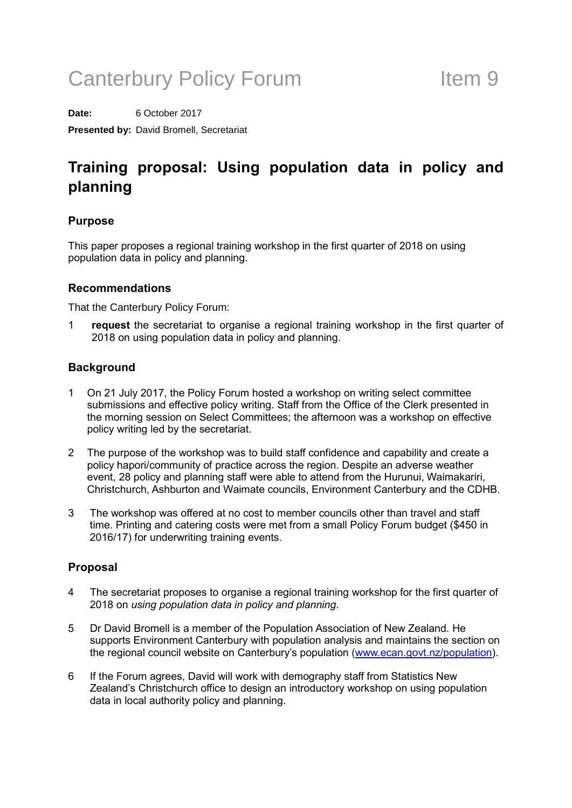# Canterbury Policy Forum Theorem Item 9

**Date:** 6 October 2017 **Presented by:** David Bromell, Secretariat

### Training proposal: Using population data in policy and planning

#### Purpose

This paper proposes a regional training workshop in the first quarter of 2018 on using population data in policy and planning.

#### Recommendations

That the Canterbury Policy Forum:

1 request the secretariat to organise a regional training workshop in the first quarter of 2018 on using population data in policy and planning.

#### **Background**

- 1 On 21 July 2017, the Policy Forum hosted a workshop on writing select committee submissions and effective policy writing. Staff from the Office of the Clerk presented in the morning session on Select Committees; the afternoon was a workshop on effective policy writing led by the secretariat.
- 2 The purpose of the workshop was to build staff confidence and capability and create a policy hapori/community of practice across the region. Despite an adverse weather event, 28 policy and planning staff were able to attend from the Hurunui, Waimakariri, Christchurch, Ashburton and Waimate councils, Environment Canterbury and the CDHB.
- 3 The workshop was offered at no cost to member councils other than travel and staff time. Printing and catering costs were met from a small Policy Forum budget (\$450 in 2016/17) for underwriting training events.

#### Proposal

- 4 The secretariat proposes to organise a regional training workshop for the first quarter of 2018 on using population data in policy and planning.
- 5 Dr David Bromell is a member of the Population Association of New Zealand. He supports Environment Canterbury with population analysis and maintains the section on the regional council website on Canterbury's population [\(www.ecan.govt.nz/population\)](http://www.ecan.govt.nz/population).
- 6 If the Forum agrees, David will work with demography staff from Statistics New Zealand's Christchurch office to design an introductory workshop on using population data in local authority policy and planning.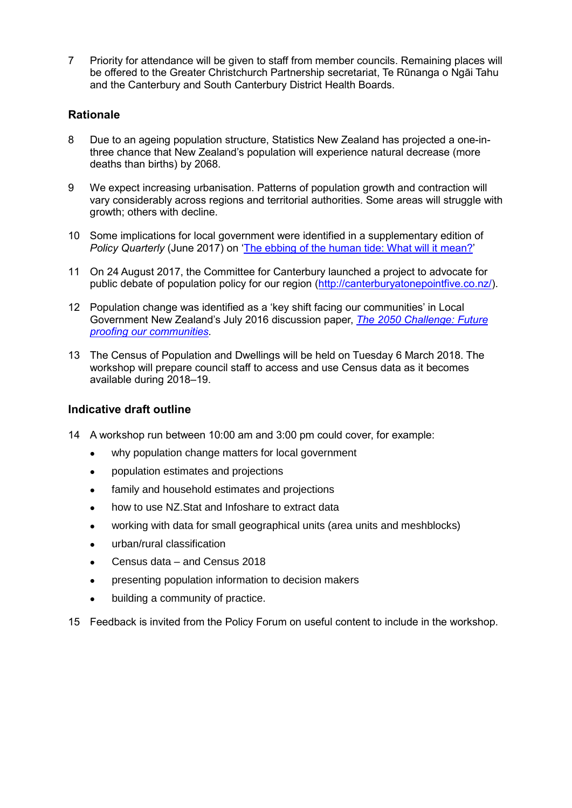7 Priority for attendance will be given to staff from member councils. Remaining places will be offered to the Greater Christchurch Partnership secretariat, Te Rūnanga o Ngāi Tahu and the Canterbury and South Canterbury District Health Boards.

#### **Rationale**

- 8 Due to an ageing population structure, Statistics New Zealand has projected a one-inthree chance that New Zealand's population will experience natural decrease (more deaths than births) by 2068.
- 9 We expect increasing urbanisation. Patterns of population growth and contraction will vary considerably across regions and territorial authorities. Some areas will struggle with growth; others with decline.
- 10 Some implications for local government were identified in a supplementary edition of Policy Quarterly (June 2017) on ['The ebbing of the human tide: What will it mean?'](http://igps.victoria.ac.nz/publications/PQ/2017/PQ-Vol-13-Supplementary-2017.pdf)
- 11 On 24 August 2017, the Committee for Canterbury launched a project to advocate for public debate of population policy for our region [\(http://canterburyatonepointfive.co.nz/\)](http://canterburyatonepointfive.co.nz/).
- 12 Population change was identified as a 'key shift facing our communities' in Local Government New Zealand's July 2016 discussion paper, [The 2050 Challenge: Future](https://www.google.com/url?q=http://www.lgnz.co.nz/assets/42597-LGNZ-2050-Challenge-Final-WEB-small.pdf&sa=U&ved=0ahUKEwiJ2eyl35HWAhUHXbwKHdq1AggQFggEMAA&client=internal-uds-cse&usg=AFQjCNEhJufsgpVyH-VXMiDVeXYUcQNWDw)  [proofing our communities.](https://www.google.com/url?q=http://www.lgnz.co.nz/assets/42597-LGNZ-2050-Challenge-Final-WEB-small.pdf&sa=U&ved=0ahUKEwiJ2eyl35HWAhUHXbwKHdq1AggQFggEMAA&client=internal-uds-cse&usg=AFQjCNEhJufsgpVyH-VXMiDVeXYUcQNWDw)
- 13 The Census of Population and Dwellings will be held on Tuesday 6 March 2018. The workshop will prepare council staff to access and use Census data as it becomes available during 2018–19.

#### Indicative draft outline

- 14 A workshop run between 10:00 am and 3:00 pm could cover, for example:
	- why population change matters for local government
	- population estimates and projections
	- family and household estimates and projections
	- how to use NZ. Stat and Infoshare to extract data
	- working with data for small geographical units (area units and meshblocks)
	- urban/rural classification
	- Census data and Census 2018
	- presenting population information to decision makers
	- building a community of practice.
- 15 Feedback is invited from the Policy Forum on useful content to include in the workshop.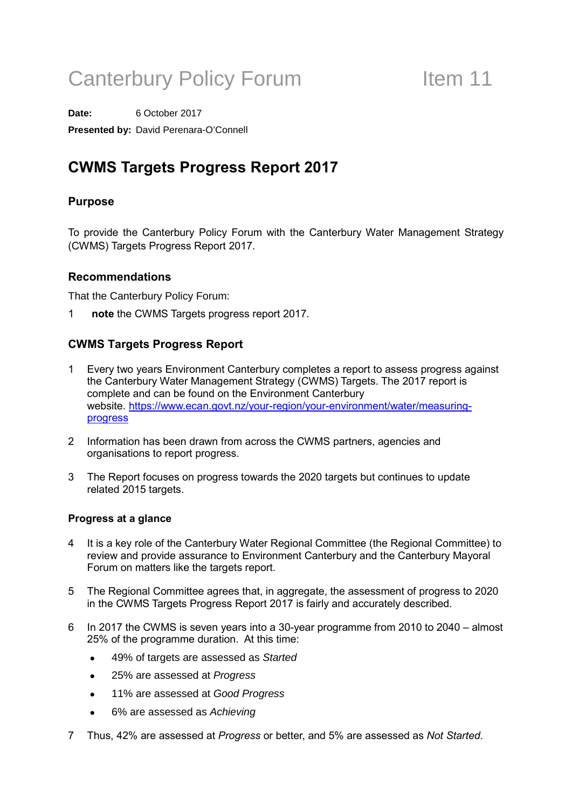# Canterbury Policy Forum Item 11

**Date:** 6 October 2017 **Presented by:** David Perenara-O'Connell

### CWMS Targets Progress Report 2017

#### Purpose

To provide the Canterbury Policy Forum with the Canterbury Water Management Strategy (CWMS) Targets Progress Report 2017.

#### Recommendations

That the Canterbury Policy Forum:

1 note the CWMS Targets progress report 2017.

#### CWMS Targets Progress Report

- Every two years Environment Canterbury completes a report to assess progress against the Canterbury Water Management Strategy (CWMS) Targets. The 2017 report is complete and can be found on the Environment Canterbury website. [https://www.ecan.govt.nz/your-region/your-environment/water/measuring](https://www.ecan.govt.nz/your-region/your-environment/water/measuring-progress)[progress](https://www.ecan.govt.nz/your-region/your-environment/water/measuring-progress)
- 2 Information has been drawn from across the CWMS partners, agencies and organisations to report progress.
- 3 The Report focuses on progress towards the 2020 targets but continues to update related 2015 targets.

#### Progress at a glance

- 4 It is a key role of the Canterbury Water Regional Committee (the Regional Committee) to review and provide assurance to Environment Canterbury and the Canterbury Mayoral Forum on matters like the targets report.
- 5 The Regional Committee agrees that, in aggregate, the assessment of progress to 2020 in the CWMS Targets Progress Report 2017 is fairly and accurately described.
- 6 In 2017 the CWMS is seven years into a 30-year programme from 2010 to 2040 almost 25% of the programme duration. At this time:
	- 49% of targets are assessed as *Started*
	- 25% are assessed at *Progress*
	- 11% are assessed at *Good Progress*
	- 6% are assessed as *Achieving*
- 7 Thus, 42% are assessed at Progress or better, and 5% are assessed as Not Started.